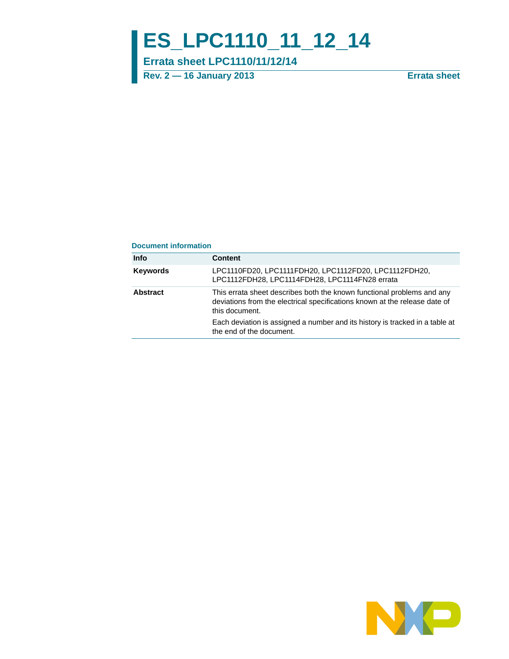# **ES\_LPC1110\_11\_12\_14**

**Errata sheet LPC1110/11/12/14**

**Rev. 2 — 16 January 2013 Errata sheet**

#### **Document information**

| <b>Info</b>     | <b>Content</b>                                                                                                                                                         |
|-----------------|------------------------------------------------------------------------------------------------------------------------------------------------------------------------|
| <b>Keywords</b> | LPC1110FD20, LPC1111FDH20, LPC1112FD20, LPC1112FDH20,<br>LPC1112FDH28, LPC1114FDH28, LPC1114FN28 errata                                                                |
| <b>Abstract</b> | This errata sheet describes both the known functional problems and any<br>deviations from the electrical specifications known at the release date of<br>this document. |
|                 | Each deviation is assigned a number and its history is tracked in a table at<br>the end of the document.                                                               |

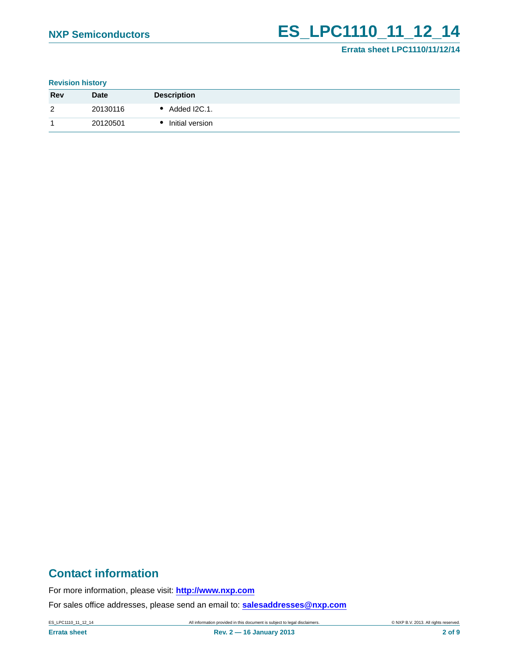## **NXP Semiconductors ES\_LPC1110\_11\_12\_14**

## **Errata sheet LPC1110/11/12/14**

#### **Revision history**

| <b>Rev</b>     | <b>Date</b> | <b>Description</b> |
|----------------|-------------|--------------------|
| $\overline{2}$ | 20130116    | Added I2C.1.       |
|                | 20120501    | Initial version    |

## **Contact information**

For more information, please visit: **http://www.nxp.com**

For sales office addresses, please send an email to: **salesaddresses@nxp.com**

**Errata sheet Rev. 2 — 16 January 2013 2 of 9**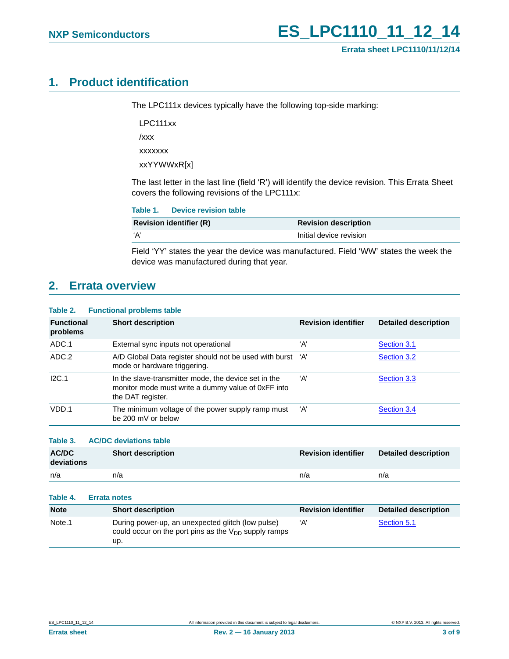## <span id="page-2-0"></span>**1. Product identification**

The LPC111x devices typically have the following top-side marking:

LPC111xx

/xxx

xxxxxxx

xxYYWWxR[x]

The last letter in the last line (field 'R') will identify the device revision. This Errata Sheet covers the following revisions of the LPC111x:

| Table 1. Device revision table |  |
|--------------------------------|--|

| <b>Revision identifier (R)</b> | <b>Revision description</b> |
|--------------------------------|-----------------------------|
| ʻΑ                             | Initial device revision     |

Field 'YY' states the year the device was manufactured. Field 'WW' states the week the device was manufactured during that year.

## <span id="page-2-1"></span>**2. Errata overview**

#### **Table 2. Functional problems table**

| <b>Functional</b><br>problems | <b>Short description</b>                                                                                                        | <b>Revision identifier</b> | <b>Detailed description</b> |
|-------------------------------|---------------------------------------------------------------------------------------------------------------------------------|----------------------------|-----------------------------|
| ADC.1                         | External sync inputs not operational                                                                                            | ʻA'                        | Section 3.1                 |
| ADC.2                         | A/D Global Data register should not be used with burst 'A'<br>mode or hardware triggering.                                      |                            | Section 3.2                 |
| I2C.1                         | In the slave-transmitter mode, the device set in the<br>monitor mode must write a dummy value of 0xFF into<br>the DAT register. | ʻA'                        | Section 3.3                 |
| VDD.1                         | The minimum voltage of the power supply ramp must<br>be 200 mV or below                                                         | ʻA'                        | Section 3.4                 |

**Table 3. AC/DC deviations table**

| <b>AC/DC</b><br>deviations | <b>Short description</b> | <b>Revision identifier</b> | <b>Detailed description</b> |
|----------------------------|--------------------------|----------------------------|-----------------------------|
| n/a                        | n/a                      | n/a                        | n/a                         |

| Table 4.           | <b>Errata notes</b>                                                                                                   |                            |                             |
|--------------------|-----------------------------------------------------------------------------------------------------------------------|----------------------------|-----------------------------|
| <b>Note</b>        | <b>Short description</b>                                                                                              | <b>Revision identifier</b> | <b>Detailed description</b> |
| Note <sub>.1</sub> | During power-up, an unexpected glitch (low pulse)<br>could occur on the port pins as the $V_{DD}$ supply ramps<br>up. | ʻA'                        | Section 5.1                 |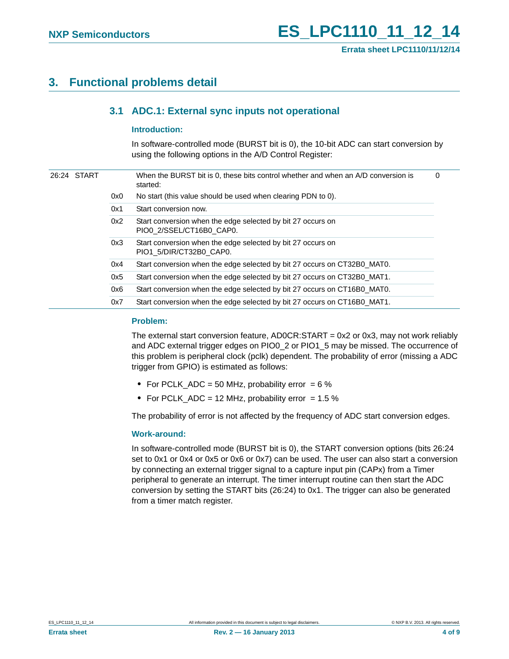## <span id="page-3-1"></span><span id="page-3-0"></span>**3. Functional problems detail**

## **3.1 ADC.1: External sync inputs not operational**

#### <span id="page-3-2"></span>**Introduction:**

In software-controlled mode (BURST bit is 0), the 10-bit ADC can start conversion by using the following options in the A/D Control Register:

|  | 26:24 START |     | When the BURST bit is 0, these bits control whether and when an A/D conversion is<br>started: | 0 |
|--|-------------|-----|-----------------------------------------------------------------------------------------------|---|
|  |             | 0x0 | No start (this value should be used when clearing PDN to 0).                                  |   |
|  |             | 0x1 | Start conversion now.                                                                         |   |
|  |             | 0x2 | Start conversion when the edge selected by bit 27 occurs on<br>PIO0 2/SSEL/CT16B0 CAP0.       |   |
|  |             | 0x3 | Start conversion when the edge selected by bit 27 occurs on<br>PIO1 5/DIR/CT32B0 CAP0.        |   |
|  |             | 0x4 | Start conversion when the edge selected by bit 27 occurs on CT32B0_MAT0.                      |   |
|  |             | 0x5 | Start conversion when the edge selected by bit 27 occurs on CT32B0_MAT1.                      |   |
|  |             | 0x6 | Start conversion when the edge selected by bit 27 occurs on CT16B0 MAT0.                      |   |
|  |             | 0x7 | Start conversion when the edge selected by bit 27 occurs on CT16B0 MAT1.                      |   |

#### <span id="page-3-3"></span>**Problem:**

The external start conversion feature, AD0CR:START = 0x2 or 0x3, may not work reliably and ADC external trigger edges on PIO0\_2 or PIO1\_5 may be missed. The occurrence of this problem is peripheral clock (pclk) dependent. The probability of error (missing a ADC trigger from GPIO) is estimated as follows:

- **•** For PCLK\_ADC = 50 MHz, probability error = 6 %
- For PCLK\_ADC = 12 MHz, probability error = 1.5 %

The probability of error is not affected by the frequency of ADC start conversion edges.

#### <span id="page-3-4"></span>**Work-around:**

In software-controlled mode (BURST bit is 0), the START conversion options (bits 26:24 set to 0x1 or 0x4 or 0x5 or 0x6 or 0x7) can be used. The user can also start a conversion by connecting an external trigger signal to a capture input pin (CAPx) from a Timer peripheral to generate an interrupt. The timer interrupt routine can then start the ADC conversion by setting the START bits (26:24) to 0x1. The trigger can also be generated from a timer match register.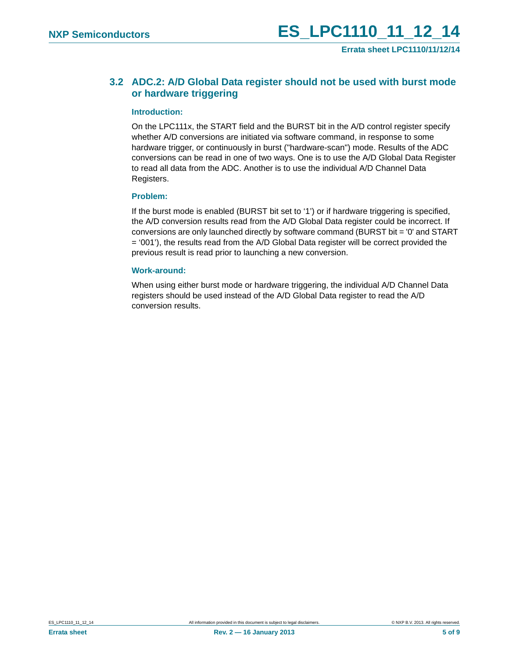**Errata sheet LPC1110/11/12/14**

## <span id="page-4-0"></span>**3.2 ADC.2: A/D Global Data register should not be used with burst mode or hardware triggering**

#### <span id="page-4-1"></span>**Introduction:**

On the LPC111x, the START field and the BURST bit in the A/D control register specify whether A/D conversions are initiated via software command, in response to some hardware trigger, or continuously in burst ("hardware-scan") mode. Results of the ADC conversions can be read in one of two ways. One is to use the A/D Global Data Register to read all data from the ADC. Another is to use the individual A/D Channel Data Registers.

#### <span id="page-4-2"></span>**Problem:**

If the burst mode is enabled (BURST bit set to '1') or if hardware triggering is specified, the A/D conversion results read from the A/D Global Data register could be incorrect. If conversions are only launched directly by software command (BURST bit = '0' and START = '001'), the results read from the A/D Global Data register will be correct provided the previous result is read prior to launching a new conversion.

#### <span id="page-4-3"></span>**Work-around:**

When using either burst mode or hardware triggering, the individual A/D Channel Data registers should be used instead of the A/D Global Data register to read the A/D conversion results.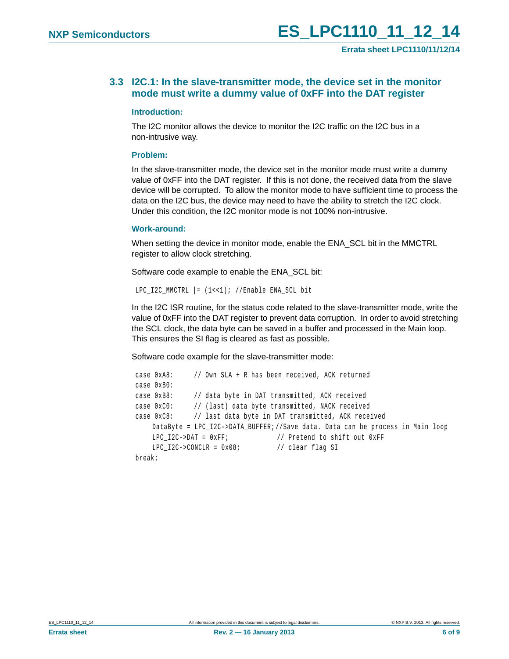## <span id="page-5-0"></span>**3.3 I2C.1: In the slave-transmitter mode, the device set in the monitor mode must write a dummy value of 0xFF into the DAT register**

#### <span id="page-5-1"></span>**Introduction:**

The I2C monitor allows the device to monitor the I2C traffic on the I2C bus in a non-intrusive way.

#### <span id="page-5-2"></span>**Problem:**

In the slave-transmitter mode, the device set in the monitor mode must write a dummy value of 0xFF into the DAT register. If this is not done, the received data from the slave device will be corrupted. To allow the monitor mode to have sufficient time to process the data on the I2C bus, the device may need to have the ability to stretch the I2C clock. Under this condition, the I2C monitor mode is not 100% non-intrusive.

#### <span id="page-5-3"></span>**Work-around:**

When setting the device in monitor mode, enable the ENA\_SCL bit in the MMCTRL register to allow clock stretching.

Software code example to enable the ENA\_SCL bit:

```
LPC I2C MMCTRL | = (1 \lt \lt 1); //Enable ENA SCL bit
```
In the I2C ISR routine, for the status code related to the slave-transmitter mode, write the value of 0xFF into the DAT register to prevent data corruption. In order to avoid stretching the SCL clock, the data byte can be saved in a buffer and processed in the Main loop. This ensures the SI flag is cleared as fast as possible.

Software code example for the slave-transmitter mode:

```
 case 0xA8: // Own SLA + R has been received, ACK returned 
case 0xB0:
case 0xB8: // data byte in DAT transmitted, ACK received
case 0xC0: // (last) data byte transmitted, NACK received
case 0xC8: // last data byte in DAT transmitted, ACK received
   DataByte = LPC_I2C->DATA_BUFFER;//Save data. Data can be process in Main loop
   LPC I2C\rightarrow DAT = 0xFF; // Pretend to shift out 0xFF
   LPC_12C->CONCLR = 0x08; // clear flag SI
break;
```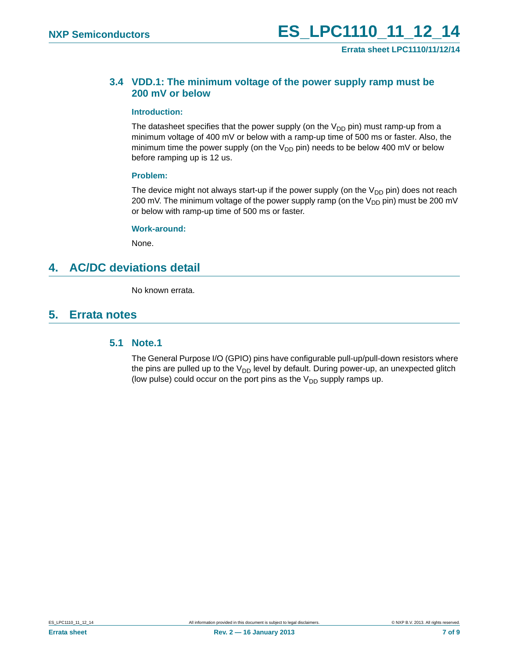**Errata sheet LPC1110/11/12/14**

## <span id="page-6-0"></span>**3.4 VDD.1: The minimum voltage of the power supply ramp must be 200 mV or below**

#### <span id="page-6-2"></span>**Introduction:**

The datasheet specifies that the power supply (on the  $V_{DD}$  pin) must ramp-up from a minimum voltage of 400 mV or below with a ramp-up time of 500 ms or faster. Also, the minimum time the power supply (on the  $V_{DD}$  pin) needs to be below 400 mV or below before ramping up is 12 us.

#### <span id="page-6-3"></span>**Problem:**

The device might not always start-up if the power supply (on the  $V_{DD}$  pin) does not reach 200 mV. The minimum voltage of the power supply ramp (on the  $V_{DD}$  pin) must be 200 mV or below with ramp-up time of 500 ms or faster.

#### <span id="page-6-4"></span>**Work-around:**

None.

## <span id="page-6-5"></span>**4. AC/DC deviations detail**

No known errata.

## <span id="page-6-6"></span><span id="page-6-1"></span>**5. Errata notes**

## **5.1 Note.1**

The General Purpose I/O (GPIO) pins have configurable pull-up/pull-down resistors where the pins are pulled up to the  $V_{DD}$  level by default. During power-up, an unexpected glitch (low pulse) could occur on the port pins as the  $V_{DD}$  supply ramps up.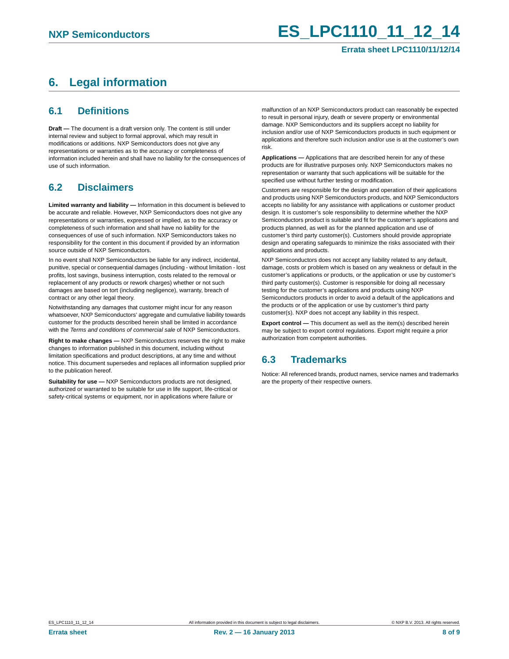## <span id="page-7-0"></span>**6. Legal information**

## <span id="page-7-1"></span>**6.1 Definitions**

**Draft —** The document is a draft version only. The content is still under internal review and subject to formal approval, which may result in modifications or additions. NXP Semiconductors does not give any representations or warranties as to the accuracy or completeness of information included herein and shall have no liability for the consequences of use of such information.

## <span id="page-7-2"></span>**6.2 Disclaimers**

**Limited warranty and liability —** Information in this document is believed to be accurate and reliable. However, NXP Semiconductors does not give any representations or warranties, expressed or implied, as to the accuracy or completeness of such information and shall have no liability for the consequences of use of such information. NXP Semiconductors takes no responsibility for the content in this document if provided by an information source outside of NXP Semiconductors.

In no event shall NXP Semiconductors be liable for any indirect, incidental, punitive, special or consequential damages (including - without limitation - lost profits, lost savings, business interruption, costs related to the removal or replacement of any products or rework charges) whether or not such damages are based on tort (including negligence), warranty, breach of contract or any other legal theory.

Notwithstanding any damages that customer might incur for any reason whatsoever, NXP Semiconductors' aggregate and cumulative liability towards customer for the products described herein shall be limited in accordance with the *Terms and conditions of commercial sale* of NXP Semiconductors.

**Right to make changes —** NXP Semiconductors reserves the right to make changes to information published in this document, including without limitation specifications and product descriptions, at any time and without notice. This document supersedes and replaces all information supplied prior to the publication hereof.

**Suitability for use —** NXP Semiconductors products are not designed, authorized or warranted to be suitable for use in life support, life-critical or safety-critical systems or equipment, nor in applications where failure or

malfunction of an NXP Semiconductors product can reasonably be expected to result in personal injury, death or severe property or environmental damage. NXP Semiconductors and its suppliers accept no liability for inclusion and/or use of NXP Semiconductors products in such equipment or applications and therefore such inclusion and/or use is at the customer's own risk.

**Applications —** Applications that are described herein for any of these products are for illustrative purposes only. NXP Semiconductors makes no representation or warranty that such applications will be suitable for the specified use without further testing or modification.

Customers are responsible for the design and operation of their applications and products using NXP Semiconductors products, and NXP Semiconductors accepts no liability for any assistance with applications or customer product design. It is customer's sole responsibility to determine whether the NXP Semiconductors product is suitable and fit for the customer's applications and products planned, as well as for the planned application and use of customer's third party customer(s). Customers should provide appropriate design and operating safeguards to minimize the risks associated with their applications and products.

NXP Semiconductors does not accept any liability related to any default, damage, costs or problem which is based on any weakness or default in the customer's applications or products, or the application or use by customer's third party customer(s). Customer is responsible for doing all necessary testing for the customer's applications and products using NXP Semiconductors products in order to avoid a default of the applications and the products or of the application or use by customer's third party customer(s). NXP does not accept any liability in this respect.

**Export control —** This document as well as the item(s) described herein may be subject to export control regulations. Export might require a prior authorization from competent authorities.

## <span id="page-7-3"></span>**6.3 Trademarks**

Notice: All referenced brands, product names, service names and trademarks are the property of their respective owners.